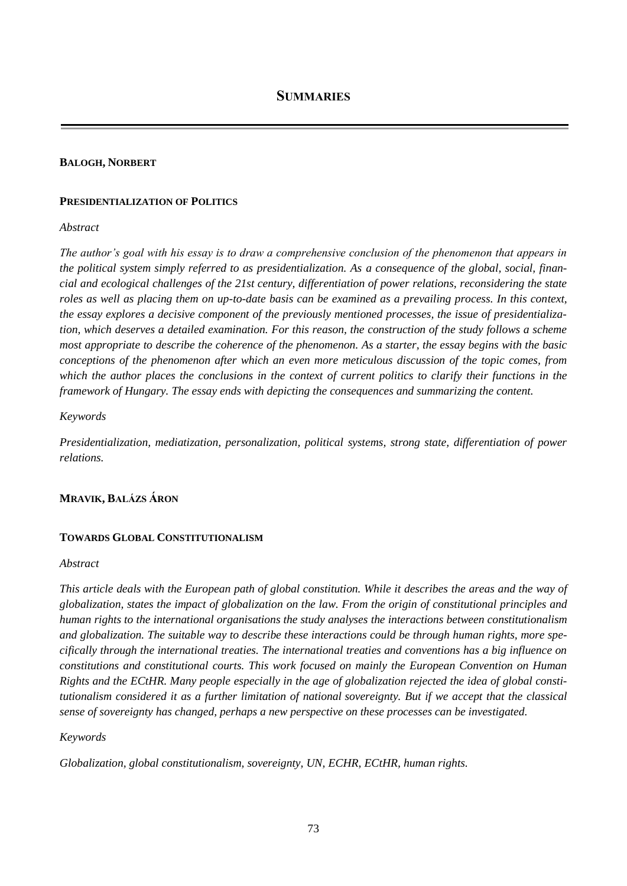#### **BALOGH, NORBERT**

#### **PRESIDENTIALIZATION OF POLITICS**

#### *Abstract*

*The author's goal with his essay is to draw a comprehensive conclusion of the phenomenon that appears in the political system simply referred to as presidentialization. As a consequence of the global, social, financial and ecological challenges of the 21st century, differentiation of power relations, reconsidering the state roles as well as placing them on up-to-date basis can be examined as a prevailing process. In this context, the essay explores a decisive component of the previously mentioned processes, the issue of presidentialization, which deserves a detailed examination. For this reason, the construction of the study follows a scheme most appropriate to describe the coherence of the phenomenon. As a starter, the essay begins with the basic conceptions of the phenomenon after which an even more meticulous discussion of the topic comes, from which the author places the conclusions in the context of current politics to clarify their functions in the framework of Hungary. The essay ends with depicting the consequences and summarizing the content.*

#### *Keywords*

*Presidentialization, mediatization, personalization, political systems, strong state, differentiation of power relations.*

# **MRAVIK, BALÁZS ÁRON**

#### **TOWARDS GLOBAL CONSTITUTIONALISM**

#### *Abstract*

*This article deals with the European path of global constitution. While it describes the areas and the way of globalization, states the impact of globalization on the law. From the origin of constitutional principles and human rights to the international organisations the study analyses the interactions between constitutionalism and globalization. The suitable way to describe these interactions could be through human rights, more specifically through the international treaties. The international treaties and conventions has a big influence on constitutions and constitutional courts. This work focused on mainly the European Convention on Human Rights and the ECtHR. Many people especially in the age of globalization rejected the idea of global constitutionalism considered it as a further limitation of national sovereignty. But if we accept that the classical sense of sovereignty has changed, perhaps a new perspective on these processes can be investigated.*

### *Keywords*

*Globalization, global constitutionalism, sovereignty, UN, ECHR, ECtHR, human rights.*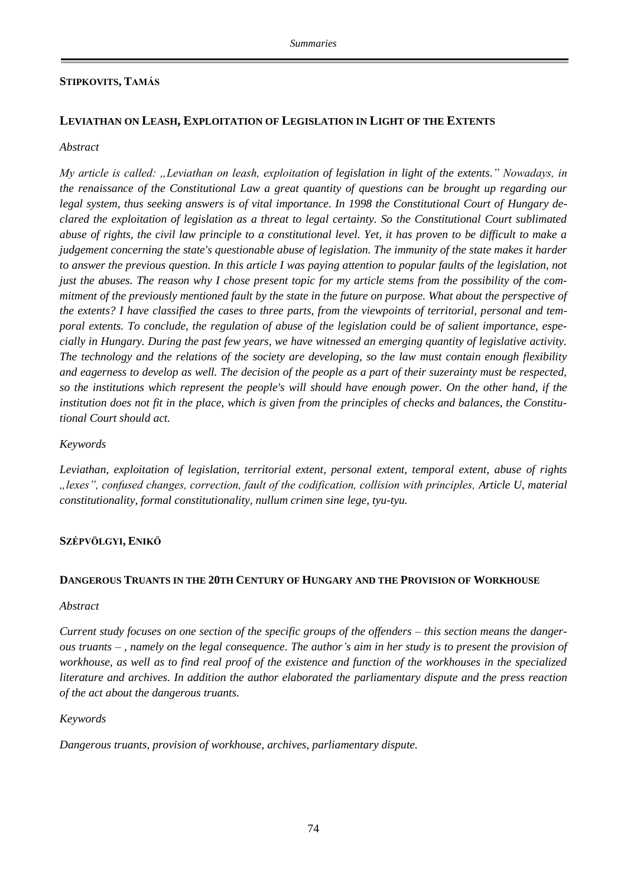# **STIPKOVITS, TAMÁS**

# **LEVIATHAN ON LEASH, EXPLOITATION OF LEGISLATION IN LIGHT OF THE EXTENTS**

#### *Abstract*

*My article is called: "Leviathan on leash, exploitation of legislation in light of the extents." Nowadays, in the renaissance of the Constitutional Law a great quantity of questions can be brought up regarding our legal system, thus seeking answers is of vital importance. In 1998 the Constitutional Court of Hungary declared the exploitation of legislation as a threat to legal certainty. So the Constitutional Court sublimated abuse of rights, the civil law principle to a constitutional level. Yet, it has proven to be difficult to make a judgement concerning the state's questionable abuse of legislation. The immunity of the state makes it harder to answer the previous question. In this article I was paying attention to popular faults of the legislation, not just the abuses. The reason why I chose present topic for my article stems from the possibility of the commitment of the previously mentioned fault by the state in the future on purpose. What about the perspective of the extents? I have classified the cases to three parts, from the viewpoints of territorial, personal and temporal extents. To conclude, the regulation of abuse of the legislation could be of salient importance, especially in Hungary. During the past few years, we have witnessed an emerging quantity of legislative activity. The technology and the relations of the society are developing, so the law must contain enough flexibility and eagerness to develop as well. The decision of the people as a part of their suzerainty must be respected, so the institutions which represent the people's will should have enough power. On the other hand, if the institution does not fit in the place, which is given from the principles of checks and balances, the Constitutional Court should act.*

#### *Keywords*

*Leviathan, exploitation of legislation, territorial extent, personal extent, temporal extent, abuse of rights "lexes", confused changes, correction, fault of the codification, collision with principles, Article U, material constitutionality, formal constitutionality, nullum crimen sine lege, tyu-tyu.*

### **SZÉPVÖLGYI, ENIKŐ**

#### **DANGEROUS TRUANTS IN THE 20TH CENTURY OF HUNGARY AND THE PROVISION OF WORKHOUSE**

#### *Abstract*

*Current study focuses on one section of the specific groups of the offenders – this section means the dangerous truants – , namely on the legal consequence. The author's aim in her study is to present the provision of workhouse, as well as to find real proof of the existence and function of the workhouses in the specialized literature and archives. In addition the author elaborated the parliamentary dispute and the press reaction of the act about the dangerous truants.* 

### *Keywords*

*Dangerous truants, provision of workhouse, archives, parliamentary dispute.*